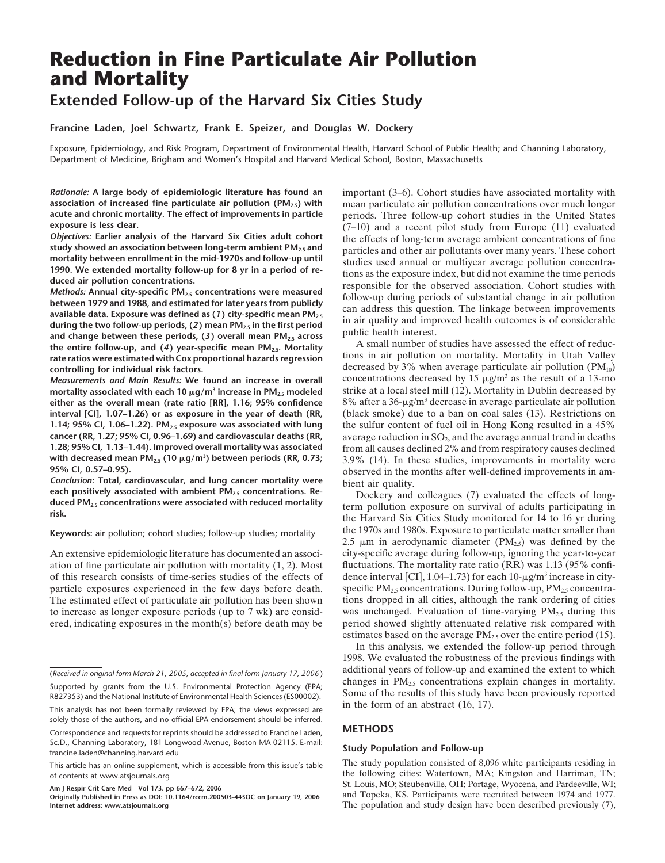# **Reduction in Fine Particulate Air Pollution and Mortality**

# **Extended Follow-up of the Harvard Six Cities Study**

**Francine Laden, Joel Schwartz, Frank E. Speizer, and Douglas W. Dockery**

Exposure, Epidemiology, and Risk Program, Department of Environmental Health, Harvard School of Public Health; and Channing Laboratory, Department of Medicine, Brigham and Women's Hospital and Harvard Medical School, Boston, Massachusetts

*Rationale:* **A large body of epidemiologic literature has found an association of increased fine particulate air pollution (PM2.5) with acute and chronic mortality. The effect of improvements in particle exposure is less clear.**

*Objectives:* **Earlier analysis of the Harvard Six Cities adult cohort study showed an association between long-term ambient PM2.5 and mortality between enrollment in the mid-1970s and follow-up until 1990. We extended mortality follow-up for 8 yr in a period of reduced air pollution concentrations.**

*Methods:* **Annual city-specific PM2.5 concentrations were measured between 1979 and 1988, and estimated for later years from publicly available data. Exposure was defined as (***1***) city-specific mean PM2.5 during the two follow-up periods, (***2***) mean PM2.5 in the first period and change between these periods, (***3***) overall mean PM2.5 across the entire follow-up, and (***4***) year-specific mean PM2.5. Mortality rate ratios were estimated with Cox proportional hazards regression controlling for individual risk factors.**

*Measurements and Main Results:* **We found an increase in overall mortality associated with each 10 g/m3 increase in PM2.5 modeled either as the overall mean (rate ratio [RR], 1.16; 95% confidence interval [CI], 1.07–1.26) or as exposure in the year of death (RR,** 1.14; 95% CI, 1.06-1.22). PM<sub>2.5</sub> exposure was associated with lung **cancer (RR, 1.27; 95% CI, 0.96–1.69) and cardiovascular deaths (RR, 1.28; 95% CI, 1.13–1.44). Improved overall mortality was associated with decreased mean PM2.5 (10 g/m3 ) between periods (RR, 0.73; 95% CI, 0.57–0.95).**

*Conclusion:* **Total, cardiovascular, and lung cancer mortality were each positively associated with ambient PM2.5 concentrations. Reduced PM2.5 concentrations were associated with reduced mortality risk.**

#### **Keywords:** air pollution; cohort studies; follow-up studies; mortality

An extensive epidemiologic literature has documented an association of fine particulate air pollution with mortality (1, 2). Most of this research consists of time-series studies of the effects of particle exposures experienced in the few days before death. The estimated effect of particulate air pollution has been shown to increase as longer exposure periods (up to 7 wk) are considered, indicating exposures in the month(s) before death may be

R827353) and the National Institute of Environmental Health Sciences (ES00002). This analysis has not been formally reviewed by EPA; the views expressed are

solely those of the authors, and no official EPA endorsement should be inferred.

Correspondence and requests for reprints should be addressed to Francine Laden, Sc.D., Channing Laboratory, 181 Longwood Avenue, Boston MA 02115. E-mail: francine.laden@channing.harvard.edu

**Am J Respir Crit Care Med Vol 173. pp 667–672, 2006**

**Originally Published in Press as DOI: 10.1164/rccm.200503-443OC on January 19, 2006 Internet address: www.atsjournals.org**

important (3–6). Cohort studies have associated mortality with mean particulate air pollution concentrations over much longer periods. Three follow-up cohort studies in the United States (7–10) and a recent pilot study from Europe (11) evaluated the effects of long-term average ambient concentrations of fine particles and other air pollutants over many years. These cohort studies used annual or multiyear average pollution concentrations as the exposure index, but did not examine the time periods responsible for the observed association. Cohort studies with follow-up during periods of substantial change in air pollution can address this question. The linkage between improvements in air quality and improved health outcomes is of considerable public health interest.

A small number of studies have assessed the effect of reductions in air pollution on mortality. Mortality in Utah Valley decreased by 3% when average particulate air pollution  $(PM_{10})$ concentrations decreased by 15  $\mu$ g/m<sup>3</sup> as the result of a 13-mo strike at a local steel mill (12). Mortality in Dublin decreased by  $8\%$  after a  $36$ - $\mu$ g/m<sup>3</sup> decrease in average particulate air pollution (black smoke) due to a ban on coal sales (13). Restrictions on the sulfur content of fuel oil in Hong Kong resulted in a 45% average reduction in  $SO_2$ , and the average annual trend in deaths from all causes declined 2% and from respiratory causes declined 3.9% (14). In these studies, improvements in mortality were observed in the months after well-defined improvements in ambient air quality.

Dockery and colleagues (7) evaluated the effects of longterm pollution exposure on survival of adults participating in the Harvard Six Cities Study monitored for 14 to 16 yr during the 1970s and 1980s. Exposure to particulate matter smaller than 2.5  $\mu$ m in aerodynamic diameter (PM<sub>2.5</sub>) was defined by the city-specific average during follow-up, ignoring the year-to-year fluctuations. The mortality rate ratio (RR) was 1.13 (95% confidence interval [CI], 1.04–1.73) for each 10- $\mu$ g/m<sup>3</sup> increase in cityspecific  $PM_{2.5}$  concentrations. During follow-up,  $PM_{2.5}$  concentrations dropped in all cities, although the rank ordering of cities was unchanged. Evaluation of time-varying  $PM_{2.5}$  during this period showed slightly attenuated relative risk compared with estimates based on the average  $PM_{2.5}$  over the entire period (15).

In this analysis, we extended the follow-up period through 1998. We evaluated the robustness of the previous findings with additional years of follow-up and examined the extent to which changes in  $PM<sub>25</sub>$  concentrations explain changes in mortality. Some of the results of this study have been previously reported in the form of an abstract (16, 17).

### **METHODS**

#### **Study Population and Follow-up**

The study population consisted of 8,096 white participants residing in the following cities: Watertown, MA; Kingston and Harriman, TN; St. Louis, MO; Steubenville, OH; Portage, Wyocena, and Pardeeville, WI; and Topeka, KS. Participants were recruited between 1974 and 1977. The population and study design have been described previously (7),

<sup>(</sup>*Received in original form March 21, 2005; accepted in final form January 17, 2006* ) Supported by grants from the U.S. Environmental Protection Agency (EPA;

This article has an online supplement, which is accessible from this issue's table of contents at www.atsjournals.org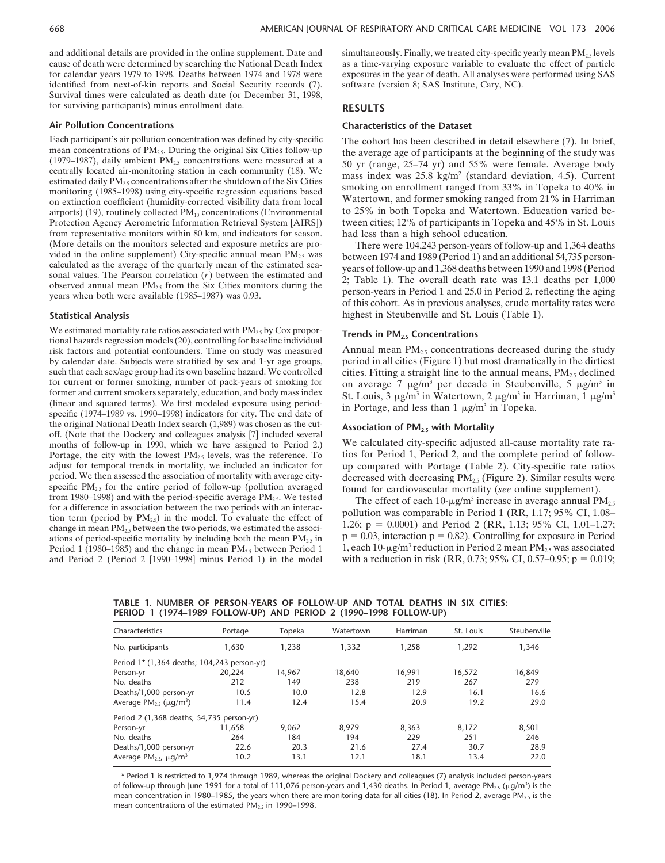and additional details are provided in the online supplement. Date and cause of death were determined by searching the National Death Index for calendar years 1979 to 1998. Deaths between 1974 and 1978 were identified from next-of-kin reports and Social Security records (7). Survival times were calculated as death date (or December 31, 1998, for surviving participants) minus enrollment date.

#### **Air Pollution Concentrations**

Each participant's air pollution concentration was defined by city-specific mean concentrations of  $PM<sub>2.5</sub>$ . During the original Six Cities follow-up (1979–1987), daily ambient  $PM<sub>2.5</sub>$  concentrations were measured at a centrally located air-monitoring station in each community (18). We estimated daily  $PM_{2.5}$  concentrations after the shutdown of the Six Cities monitoring (1985–1998) using city-specific regression equations based on extinction coefficient (humidity-corrected visibility data from local airports) (19), routinely collected  $PM_{10}$  concentrations (Environmental Protection Agency Aerometric Information Retrieval System [AIRS]) from representative monitors within 80 km, and indicators for season. (More details on the monitors selected and exposure metrics are provided in the online supplement) City-specific annual mean  $PM<sub>2.5</sub>$  was calculated as the average of the quarterly mean of the estimated seasonal values. The Pearson correlation (*r*) between the estimated and observed annual mean  $PM_{2.5}$  from the Six Cities monitors during the years when both were available (1985–1987) was 0.93.

#### **Statistical Analysis**

We estimated mortality rate ratios associated with PM<sub>2.5</sub> by Cox proportional hazards regression models (20), controlling for baseline individual risk factors and potential confounders. Time on study was measured by calendar date. Subjects were stratified by sex and 1-yr age groups, such that each sex/age group had its own baseline hazard. We controlled for current or former smoking, number of pack-years of smoking for former and current smokers separately, education, and body mass index (linear and squared terms). We first modeled exposure using periodspecific (1974–1989 vs. 1990–1998) indicators for city. The end date of the original National Death Index search (1,989) was chosen as the cutoff. (Note that the Dockery and colleagues analysis [7] included several months of follow-up in 1990, which we have assigned to Period 2.) Portage, the city with the lowest  $PM<sub>2.5</sub>$  levels, was the reference. To adjust for temporal trends in mortality, we included an indicator for period. We then assessed the association of mortality with average cityspecific  $PM_{2.5}$  for the entire period of follow-up (pollution averaged from 1980–1998) and with the period-specific average  $PM_{2.5}$ . We tested for a difference in association between the two periods with an interaction term (period by  $PM_{2.5}$ ) in the model. To evaluate the effect of change in mean  $PM_{2.5}$  between the two periods, we estimated the associations of period-specific mortality by including both the mean  $PM_{2.5}$  in Period 1 (1980–1985) and the change in mean  $PM_{2.5}$  between Period 1 and Period 2 (Period 2 [1990–1998] minus Period 1) in the model

simultaneously. Finally, we treated city-specific yearly mean  $PM_{2.5}$  levels as a time-varying exposure variable to evaluate the effect of particle exposures in the year of death. All analyses were performed using SAS software (version 8; SAS Institute, Cary, NC).

#### **RESULTS**

## **Characteristics of the Dataset**

The cohort has been described in detail elsewhere (7). In brief, the average age of participants at the beginning of the study was 50 yr (range, 25–74 yr) and 55% were female. Average body mass index was 25.8 kg/m<sup>2</sup> (standard deviation, 4.5). Current smoking on enrollment ranged from 33% in Topeka to 40% in Watertown, and former smoking ranged from 21% in Harriman to 25% in both Topeka and Watertown. Education varied between cities; 12% of participants in Topeka and 45% in St. Louis had less than a high school education.

There were 104,243 person-years of follow-up and 1,364 deaths between 1974 and 1989 (Period 1) and an additional 54,735 personyears of follow-up and 1,368 deaths between 1990 and 1998 (Period 2; Table 1). The overall death rate was 13.1 deaths per 1,000 person-years in Period 1 and 25.0 in Period 2, reflecting the aging of this cohort. As in previous analyses, crude mortality rates were highest in Steubenville and St. Louis (Table 1).

#### **Trends in PM2.5 Concentrations**

Annual mean  $PM<sub>2.5</sub>$  concentrations decreased during the study period in all cities (Figure 1) but most dramatically in the dirtiest cities. Fitting a straight line to the annual means,  $PM_{2.5}$  declined on average 7  $\mu$ g/m<sup>3</sup> per decade in Steubenville, 5  $\mu$ g/m<sup>3</sup> in St. Louis, 3  $\mu$ g/m<sup>3</sup> in Watertown, 2  $\mu$ g/m<sup>3</sup> in Harriman, 1  $\mu$ g/m<sup>3</sup> in Portage, and less than  $1 \mu g/m^3$  in Topeka.

#### **Association of PM2.5 with Mortality**

We calculated city-specific adjusted all-cause mortality rate ratios for Period 1, Period 2, and the complete period of followup compared with Portage (Table 2). City-specific rate ratios decreased with decreasing  $PM_{2.5}$  (Figure 2). Similar results were found for cardiovascular mortality (*see* online supplement).

The effect of each 10- $\mu$ g/m<sup>3</sup> increase in average annual PM<sub>2.5</sub> pollution was comparable in Period 1 (RR, 1.17; 95% CI, 1.08– 1.26; p - 0.0001) and Period 2 (RR, 1.13; 95% CI, 1.01–1.27;  $p = 0.03$ , interaction  $p = 0.82$ ). Controlling for exposure in Period 1, each 10- $\mu$ g/m<sup>3</sup> reduction in Period 2 mean PM<sub>2.5</sub> was associated with a reduction in risk (RR, 0.73; 95% CI, 0.57–0.95;  $p = 0.019$ ;

**TABLE 1. NUMBER OF PERSON-YEARS OF FOLLOW-UP AND TOTAL DEATHS IN SIX CITIES: PERIOD 1 (1974–1989 FOLLOW-UP) AND PERIOD 2 (1990–1998 FOLLOW-UP)**

| Characteristics                               | Portage | Topeka | Watertown | Harriman | St. Louis | Steubenville |
|-----------------------------------------------|---------|--------|-----------|----------|-----------|--------------|
| No. participants                              | 1.630   | 1.238  | 1,332     | 1.258    | 1.292     | 1,346        |
| Period 1* (1,364 deaths; 104,243 person-yr)   |         |        |           |          |           |              |
| Person-yr                                     | 20,224  | 14.967 | 18,640    | 16,991   | 16,572    | 16,849       |
| No. deaths                                    | 212     | 149    | 238       | 219      | 267       | 279          |
| Deaths/1,000 person-yr                        | 10.5    | 10.0   | 12.8      | 12.9     | 16.1      | 16.6         |
| Average $PM_{2.5}$ ( $\mu$ g/m <sup>3</sup> ) | 11.4    | 12.4   | 15.4      | 20.9     | 19.2      | 29.0         |
| Period 2 (1,368 deaths; 54,735 person-yr)     |         |        |           |          |           |              |
| Person-yr                                     | 11.658  | 9.062  | 8.979     | 8.363    | 8.172     | 8,501        |
| No. deaths                                    | 264     | 184    | 194       | 229      | 251       | 246          |
| Deaths/1,000 person-yr                        | 22.6    | 20.3   | 21.6      | 27.4     | 30.7      | 28.9         |
| Average $PM_{2.5}$ , $\mu q/m^3$              | 10.2    | 13.1   | 12.1      | 18.1     | 13.4      | 22.0         |

\* Period 1 is restricted to 1,974 through 1989, whereas the original Dockery and colleagues (7) analysis included person-years of follow-up through June 1991 for a total of 111,076 person-years and 1,430 deaths. In Period 1, average PM<sub>2.5</sub> ( $\mu$ g/m<sup>3</sup>) is the mean concentration in 1980–1985, the years when there are monitoring data for all cities (18). In Period 2, average PM<sub>2.5</sub> is the mean concentrations of the estimated  $PM_{2.5}$  in 1990–1998.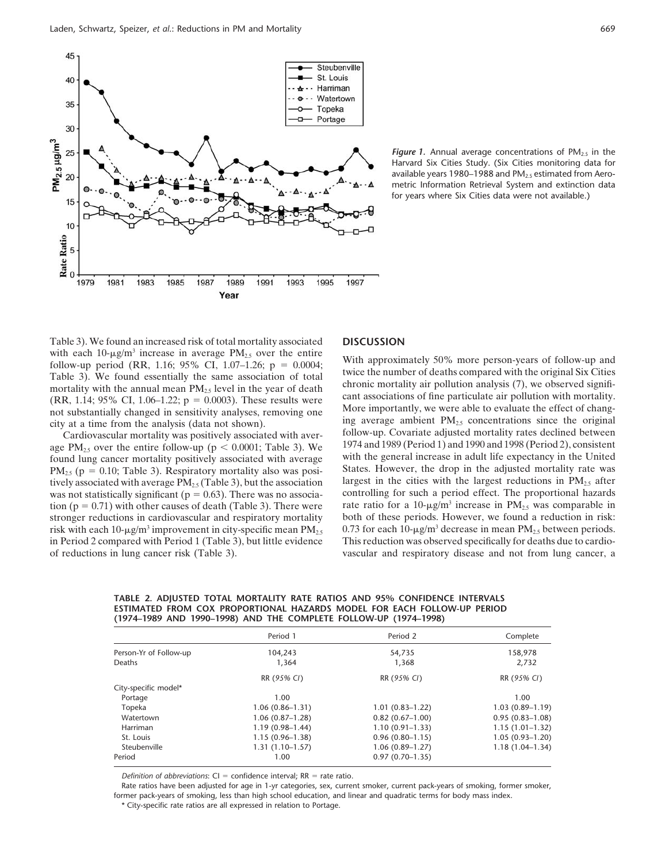

**Figure 1.** Annual average concentrations of  $PM_{2.5}$  in the Harvard Six Cities Study. (Six Cities monitoring data for available years 1980–1988 and  $PM<sub>2.5</sub>$  estimated from Aerometric Information Retrieval System and extinction data for years where Six Cities data were not available.)

Table 3). We found an increased risk of total mortality associated with each 10- $\mu$ g/m<sup>3</sup> increase in average PM<sub>2.5</sub> over the entire follow-up period (RR, 1.16; 95% CI, 1.07–1.26;  $p = 0.0004$ ; Table 3). We found essentially the same association of total mortality with the annual mean  $PM<sub>2.5</sub>$  level in the year of death  $(RR, 1.14; 95\% \text{ CI}, 1.06-1.22; p = 0.0003)$ . These results were not substantially changed in sensitivity analyses, removing one city at a time from the analysis (data not shown).

Cardiovascular mortality was positively associated with average PM<sub>2.5</sub> over the entire follow-up ( $p < 0.0001$ ; Table 3). We found lung cancer mortality positively associated with average  $PM<sub>2.5</sub>$  (p = 0.10; Table 3). Respiratory mortality also was positively associated with average  $PM_{2.5}$  (Table 3), but the association was not statistically significant ( $p = 0.63$ ). There was no association ( $p = 0.71$ ) with other causes of death (Table 3). There were stronger reductions in cardiovascular and respiratory mortality risk with each 10- $\mu$ g/m<sup>3</sup> improvement in city-specific mean PM<sub>2.5</sub> in Period 2 compared with Period 1 (Table 3), but little evidence of reductions in lung cancer risk (Table 3).

# **DISCUSSION**

With approximately 50% more person-years of follow-up and twice the number of deaths compared with the original Six Cities chronic mortality air pollution analysis (7), we observed significant associations of fine particulate air pollution with mortality. More importantly, we were able to evaluate the effect of changing average ambient  $PM_{2.5}$  concentrations since the original follow-up. Covariate adjusted mortality rates declined between 1974 and 1989 (Period 1) and 1990 and 1998 (Period 2), consistent with the general increase in adult life expectancy in the United States. However, the drop in the adjusted mortality rate was largest in the cities with the largest reductions in  $PM_{2.5}$  after controlling for such a period effect. The proportional hazards rate ratio for a 10- $\mu$ g/m<sup>3</sup> increase in PM<sub>2.5</sub> was comparable in both of these periods. However, we found a reduction in risk: 0.73 for each 10- $\mu$ g/m<sup>3</sup> decrease in mean PM<sub>2.5</sub> between periods. This reduction was observed specifically for deaths due to cardiovascular and respiratory disease and not from lung cancer, a

**TABLE 2. ADJUSTED TOTAL MORTALITY RATE RATIOS AND 95% CONFIDENCE INTERVALS ESTIMATED FROM COX PROPORTIONAL HAZARDS MODEL FOR EACH FOLLOW-UP PERIOD (1974–1989 AND 1990–1998) AND THE COMPLETE FOLLOW-UP (1974–1998)**

|                        | Period 1            | Period 2            | Complete            |
|------------------------|---------------------|---------------------|---------------------|
| Person-Yr of Follow-up | 104,243             | 54,735              | 158,978             |
| Deaths                 | 1,364               | 1,368               | 2,732               |
|                        | RR (95% CI)         | RR (95% CI)         | RR (95% CI)         |
| City-specific model*   |                     |                     |                     |
| Portage                | 1.00                |                     | 1.00                |
| Topeka                 | $1.06(0.86 - 1.31)$ | $1.01(0.83 - 1.22)$ | $1.03(0.89-1.19)$   |
| Watertown              | $1.06(0.87-1.28)$   | $0.82(0.67-1.00)$   | $0.95(0.83 - 1.08)$ |
| Harriman               | $1.19(0.98-1.44)$   | $1.10(0.91 - 1.33)$ | $1.15(1.01-1.32)$   |
| St. Louis              | $1.15(0.96-1.38)$   | $0.96(0.80-1.15)$   | $1.05(0.93-1.20)$   |
| Steubenville           | $1.31(1.10-1.57)$   | $1.06(0.89-1.27)$   | $1.18(1.04 - 1.34)$ |
| Period                 | 1.00                | $0.97(0.70-1.35)$   |                     |
|                        |                     |                     |                     |

Definition of abbreviations: CI = confidence interval; RR = rate ratio.

Rate ratios have been adjusted for age in 1-yr categories, sex, current smoker, current pack-years of smoking, former smoker, former pack-years of smoking, less than high school education, and linear and quadratic terms for body mass index.

\* City-specific rate ratios are all expressed in relation to Portage.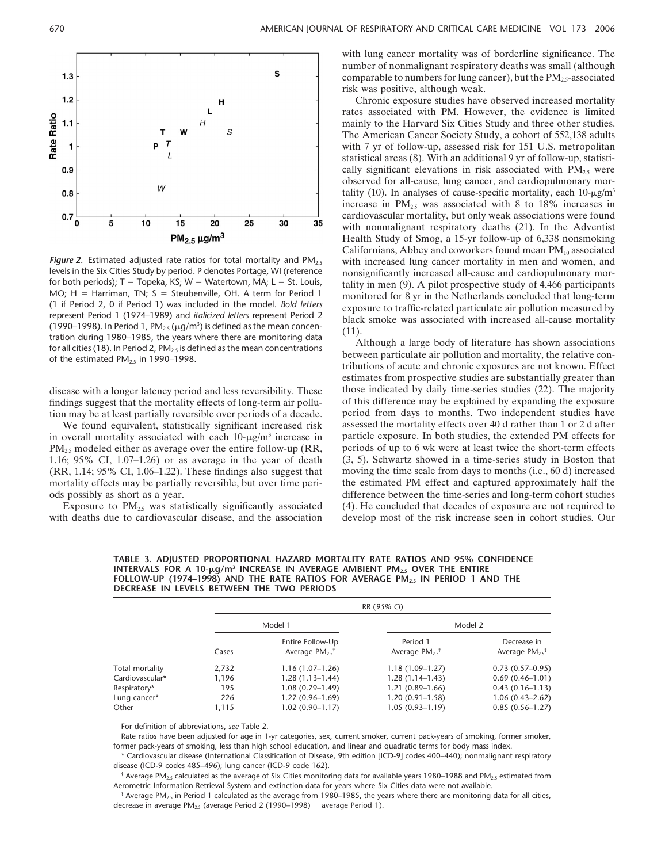

*Figure 2.* Estimated adjusted rate ratios for total mortality and PM<sub>2.5</sub> levels in the Six Cities Study by period. P denotes Portage, WI (reference for both periods); T = Topeka, KS; W = Watertown, MA; L = St. Louis,  $MO$ ;  $H = Harriman$ ,  $TN$ ;  $S = Steubenville$ ,  $OH$ . A term for Period 1 (1 if Period 2, 0 if Period 1) was included in the model. *Bold letters* represent Period 1 (1974–1989) and *italicized letters* represent Period 2 (1990–1998). In Period 1, PM $_{2.5}$  ( $\mu$ g/m $^3$ ) is defined as the mean concentration during 1980–1985, the years where there are monitoring data for all cities (18). In Period 2,  $PM_{2.5}$  is defined as the mean concentrations of the estimated  $PM<sub>2.5</sub>$  in 1990–1998.

disease with a longer latency period and less reversibility. These findings suggest that the mortality effects of long-term air pollution may be at least partially reversible over periods of a decade.

We found equivalent, statistically significant increased risk in overall mortality associated with each  $10-\mu g/m^3$  increase in  $PM_{2.5}$  modeled either as average over the entire follow-up (RR, 1.16; 95% CI, 1.07–1.26) or as average in the year of death (RR, 1.14; 95% CI, 1.06–1.22). These findings also suggest that mortality effects may be partially reversible, but over time periods possibly as short as a year.

Exposure to  $PM_{2.5}$  was statistically significantly associated with deaths due to cardiovascular disease, and the association

with lung cancer mortality was of borderline significance. The number of nonmalignant respiratory deaths was small (although comparable to numbers for lung cancer), but the  $PM_{2.5}$ -associated risk was positive, although weak.

Chronic exposure studies have observed increased mortality rates associated with PM. However, the evidence is limited mainly to the Harvard Six Cities Study and three other studies. The American Cancer Society Study, a cohort of 552,138 adults with 7 yr of follow-up, assessed risk for 151 U.S. metropolitan statistical areas (8). With an additional 9 yr of follow-up, statistically significant elevations in risk associated with  $PM<sub>25</sub>$  were observed for all-cause, lung cancer, and cardiopulmonary mortality (10). In analyses of cause-specific mortality, each  $10$ - $\mu$ g/m<sup>3</sup> increase in  $PM_{2.5}$  was associated with 8 to 18% increases in cardiovascular mortality, but only weak associations were found with nonmalignant respiratory deaths (21). In the Adventist Health Study of Smog, a 15-yr follow-up of 6,338 nonsmoking Californians, Abbey and coworkers found mean  $PM_{10}$  associated with increased lung cancer mortality in men and women, and nonsignificantly increased all-cause and cardiopulmonary mortality in men (9). A pilot prospective study of 4,466 participants monitored for 8 yr in the Netherlands concluded that long-term exposure to traffic-related particulate air pollution measured by black smoke was associated with increased all-cause mortality (11).

Although a large body of literature has shown associations between particulate air pollution and mortality, the relative contributions of acute and chronic exposures are not known. Effect estimates from prospective studies are substantially greater than those indicated by daily time-series studies (22). The majority of this difference may be explained by expanding the exposure period from days to months. Two independent studies have assessed the mortality effects over 40 d rather than 1 or 2 d after particle exposure. In both studies, the extended PM effects for periods of up to 6 wk were at least twice the short-term effects (3, 5). Schwartz showed in a time-series study in Boston that moving the time scale from days to months (i.e., 60 d) increased the estimated PM effect and captured approximately half the difference between the time-series and long-term cohort studies (4). He concluded that decades of exposure are not required to develop most of the risk increase seen in cohort studies. Our

**TABLE 3. ADJUSTED PROPORTIONAL HAZARD MORTALITY RATE RATIOS AND 95% CONFIDENCE INTERVALS FOR A 10-g/m3 INCREASE IN AVERAGE AMBIENT PM2.5 OVER THE ENTIRE FOLLOW-UP (1974–1998) AND THE RATE RATIOS FOR AVERAGE PM2.5 IN PERIOD 1 AND THE DECREASE IN LEVELS BETWEEN THE TWO PERIODS**

|                 |       | RR (95% CI)                                         |                                             |                                                |  |  |  |  |
|-----------------|-------|-----------------------------------------------------|---------------------------------------------|------------------------------------------------|--|--|--|--|
|                 |       | Model 1                                             |                                             | Model 2                                        |  |  |  |  |
|                 | Cases | Entire Follow-Up<br>Average $PM_{2.5}$ <sup>†</sup> | Period 1<br>Average $PM_{2.5}$ <sup>#</sup> | Decrease in<br>Average $PM_{2.5}$ <sup>‡</sup> |  |  |  |  |
| Total mortality | 2,732 | 1.16 (1.07–1.26)                                    | $1.18(1.09-1.27)$                           | $0.73(0.57-0.95)$                              |  |  |  |  |
| Cardiovascular* | 1,196 | $1.28(1.13-1.44)$                                   | $1.28(1.14-1.43)$                           | $0.69(0.46 - 1.01)$                            |  |  |  |  |
| Respiratory*    | 195   | $1.08(0.79-1.49)$                                   | $1.21(0.89-1.66)$                           | $0.43(0.16 - 1.13)$                            |  |  |  |  |
| Lung cancer*    | 226   | $1.27(0.96-1.69)$                                   | $1.20(0.91-1.58)$                           | $1.06(0.43 - 2.62)$                            |  |  |  |  |
| Other           | 1,115 | $1.02(0.90 - 1.17)$                                 | $1.05(0.93 - 1.19)$                         | $0.85(0.56 - 1.27)$                            |  |  |  |  |

For definition of abbreviations, *see* Table 2.

Rate ratios have been adjusted for age in 1-yr categories, sex, current smoker, current pack-years of smoking, former smoker, former pack-years of smoking, less than high school education, and linear and quadratic terms for body mass index.

\* Cardiovascular disease (International Classification of Disease, 9th edition [ICD-9] codes 400–440); nonmalignant respiratory disease (ICD-9 codes 485–496); lung cancer (ICD-9 code 162).

 $^{\dagger}$  Average PM<sub>2.5</sub> calculated as the average of Six Cities monitoring data for available years 1980–1988 and PM<sub>2.5</sub> estimated from Aerometric Information Retrieval System and extinction data for years where Six Cities data were not available.

 $*$  Average PM<sub>2.5</sub> in Period 1 calculated as the average from 1980–1985, the years where there are monitoring data for all cities, decrease in average  $PM_{2.5}$  (average Period 2 (1990–1998) – average Period 1).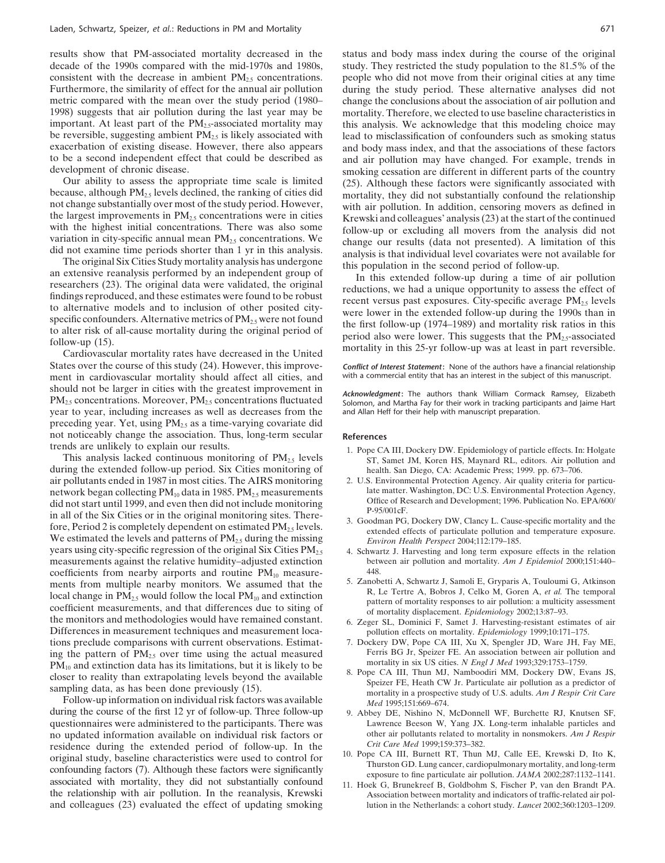results show that PM-associated mortality decreased in the decade of the 1990s compared with the mid-1970s and 1980s, consistent with the decrease in ambient  $PM_{2.5}$  concentrations. Furthermore, the similarity of effect for the annual air pollution metric compared with the mean over the study period (1980– 1998) suggests that air pollution during the last year may be important. At least part of the  $PM<sub>25</sub>$ -associated mortality may be reversible, suggesting ambient  $PM<sub>25</sub>$  is likely associated with exacerbation of existing disease. However, there also appears to be a second independent effect that could be described as development of chronic disease.

Our ability to assess the appropriate time scale is limited because, although  $PM_{2.5}$  levels declined, the ranking of cities did not change substantially over most of the study period. However, the largest improvements in  $PM<sub>2.5</sub>$  concentrations were in cities with the highest initial concentrations. There was also some variation in city-specific annual mean  $PM_{2.5}$  concentrations. We did not examine time periods shorter than 1 yr in this analysis.

The original Six Cities Study mortality analysis has undergone an extensive reanalysis performed by an independent group of researchers (23). The original data were validated, the original findings reproduced, and these estimates were found to be robust to alternative models and to inclusion of other posited cityspecific confounders. Alternative metrics of  $PM_{2.5}$  were not found to alter risk of all-cause mortality during the original period of follow-up (15).

Cardiovascular mortality rates have decreased in the United States over the course of this study (24). However, this improvement in cardiovascular mortality should affect all cities, and should not be larger in cities with the greatest improvement in  $PM_{2.5}$  concentrations. Moreover,  $PM_{2.5}$  concentrations fluctuated year to year, including increases as well as decreases from the preceding year. Yet, using  $PM_{2.5}$  as a time-varying covariate did not noticeably change the association. Thus, long-term secular trends are unlikely to explain our results.

This analysis lacked continuous monitoring of  $PM<sub>2.5</sub>$  levels during the extended follow-up period. Six Cities monitoring of air pollutants ended in 1987 in most cities. The AIRS monitoring network began collecting  $PM_{10}$  data in 1985.  $PM_{2.5}$  measurements did not start until 1999, and even then did not include monitoring in all of the Six Cities or in the original monitoring sites. Therefore, Period 2 is completely dependent on estimated  $PM_{2.5}$  levels. We estimated the levels and patterns of  $PM<sub>2.5</sub>$  during the missing years using city-specific regression of the original Six Cities  $PM_{2.5}$ measurements against the relative humidity–adjusted extinction coefficients from nearby airports and routine  $PM_{10}$  measurements from multiple nearby monitors. We assumed that the local change in  $PM_{2.5}$  would follow the local  $PM_{10}$  and extinction coefficient measurements, and that differences due to siting of the monitors and methodologies would have remained constant. Differences in measurement techniques and measurement locations preclude comparisons with current observations. Estimating the pattern of  $PM<sub>2.5</sub>$  over time using the actual measured  $PM_{10}$  and extinction data has its limitations, but it is likely to be closer to reality than extrapolating levels beyond the available sampling data, as has been done previously (15).

Follow-up information on individual risk factors was available during the course of the first 12 yr of follow-up. Three follow-up questionnaires were administered to the participants. There was no updated information available on individual risk factors or residence during the extended period of follow-up. In the original study, baseline characteristics were used to control for confounding factors (7). Although these factors were significantly associated with mortality, they did not substantially confound the relationship with air pollution. In the reanalysis, Krewski and colleagues (23) evaluated the effect of updating smoking

status and body mass index during the course of the original study. They restricted the study population to the 81.5% of the people who did not move from their original cities at any time during the study period. These alternative analyses did not change the conclusions about the association of air pollution and mortality. Therefore, we elected to use baseline characteristics in this analysis. We acknowledge that this modeling choice may lead to misclassification of confounders such as smoking status and body mass index, and that the associations of these factors and air pollution may have changed. For example, trends in smoking cessation are different in different parts of the country (25). Although these factors were significantly associated with mortality, they did not substantially confound the relationship with air pollution. In addition, censoring movers as defined in Krewski and colleagues' analysis (23) at the start of the continued follow-up or excluding all movers from the analysis did not change our results (data not presented). A limitation of this analysis is that individual level covariates were not available for this population in the second period of follow-up.

In this extended follow-up during a time of air pollution reductions, we had a unique opportunity to assess the effect of recent versus past exposures. City-specific average  $PM_{2.5}$  levels were lower in the extended follow-up during the 1990s than in the first follow-up (1974–1989) and mortality risk ratios in this period also were lower. This suggests that the  $PM_{2.5}$ -associated mortality in this 25-yr follow-up was at least in part reversible.

*Conflict of Interest Statement***:** None of the authors have a financial relationship with a commercial entity that has an interest in the subject of this manuscript.

*Acknowledgment***:** The authors thank William Cormack Ramsey, Elizabeth Solomon, and Martha Fay for their work in tracking participants and Jaime Hart and Allan Heff for their help with manuscript preparation.

#### **References**

- 1. Pope CA III, Dockery DW. Epidemiology of particle effects. In: Holgate ST, Samet JM, Koren HS, Maynard RL, editors. Air pollution and health. San Diego, CA: Academic Press; 1999. pp. 673–706.
- 2. U.S. Environmental Protection Agency. Air quality criteria for particulate matter. Washington, DC: U.S. Environmental Protection Agency, Office of Research and Development; 1996. Publication No. EPA/600/ P-95/001cF.
- 3. Goodman PG, Dockery DW, Clancy L. Cause-specific mortality and the extended effects of particulate pollution and temperature exposure. *Environ Health Perspect* 2004;112:179–185.
- 4. Schwartz J. Harvesting and long term exposure effects in the relation between air pollution and mortality. *Am J Epidemiol* 2000;151:440– 448.
- 5. Zanobetti A, Schwartz J, Samoli E, Gryparis A, Touloumi G, Atkinson R, Le Tertre A, Bobros J, Celko M, Goren A, *et al.* The temporal pattern of mortality responses to air pollution: a multicity assessment of mortality displacement. *Epidemiology* 2002;13:87–93.
- 6. Zeger SL, Dominici F, Samet J. Harvesting-resistant estimates of air pollution effects on mortality. *Epidemiology* 1999;10:171–175.
- 7. Dockery DW, Pope CA III, Xu X, Spengler JD, Ware JH, Fay ME, Ferris BG Jr, Speizer FE. An association between air pollution and mortality in six US cities. *N Engl J Med* 1993;329:1753–1759.
- 8. Pope CA III, Thun MJ, Namboodiri MM, Dockery DW, Evans JS, Speizer FE, Heath CW Jr. Particulate air pollution as a predictor of mortality in a prospective study of U.S. adults. *Am J Respir Crit Care Med* 1995;151:669–674.
- 9. Abbey DE, Nishino N, McDonnell WF, Burchette RJ, Knutsen SF, Lawrence Beeson W, Yang JX. Long-term inhalable particles and other air pollutants related to mortality in nonsmokers. *Am J Respir Crit Care Med* 1999;159:373–382.
- 10. Pope CA III, Burnett RT, Thun MJ, Calle EE, Krewski D, Ito K, Thurston GD. Lung cancer, cardiopulmonary mortality, and long-term exposure to fine particulate air pollution. *JAMA* 2002;287:1132–1141.
- 11. Hoek G, Brunekreef B, Goldbohm S, Fischer P, van den Brandt PA. Association between mortality and indicators of traffic-related air pollution in the Netherlands: a cohort study. *Lancet* 2002;360:1203–1209.